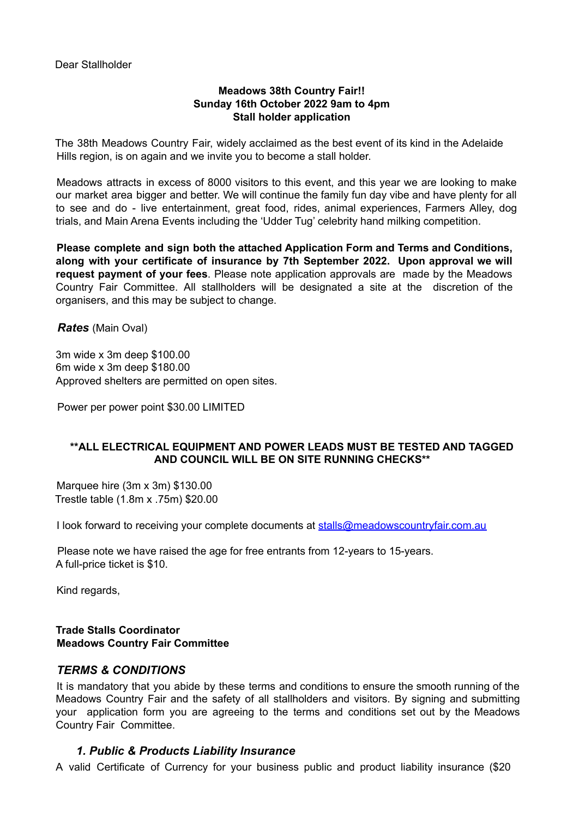Dear Stallholder

### **Meadows 38th Country Fair!! Sunday 16th October 2022 9am to 4pm Stall holder application**

The 38th Meadows Country Fair, widely acclaimed as the best event of its kind in the Adelaide Hills region, is on again and we invite you to become a stall holder.

Meadows attracts in excess of 8000 visitors to this event, and this year we are looking to make our market area bigger and better. We will continue the family fun day vibe and have plenty for all to see and do - live entertainment, great food, rides, animal experiences, Farmers Alley, dog trials, and Main Arena Events including the 'Udder Tug' celebrity hand milking competition.

**Please complete and sign both the attached Application Form and Terms and Conditions, along with your certificate of insurance by 7th September 2022. Upon approval we will request payment of your fees**. Please note application approvals are made by the Meadows Country Fair Committee. All stallholders will be designated a site at the discretion of the organisers, and this may be subject to change.

*Rates* (Main Oval)

3m wide x 3m deep \$100.00 6m wide x 3m deep \$180.00 Approved shelters are permitted on open sites.

Power per power point \$30.00 LIMITED

#### **\*\*ALL ELECTRICAL EQUIPMENT AND POWER LEADS MUST BE TESTED AND TAGGED AND COUNCIL WILL BE ON SITE RUNNING CHECKS\*\***

Marquee hire (3m x 3m) \$130.00 Trestle table (1.8m x .75m) \$20.00

I look forward to receiving your complete documents at stalls@meadowscountryfair.com.au

Please note we have raised the age for free entrants from 12-years to 15-years. A full-price ticket is \$10.

Kind regards,

### **Trade Stalls Coordinator Meadows Country Fair Committee**

## *TERMS & CONDITIONS*

It is mandatory that you abide by these terms and conditions to ensure the smooth running of the Meadows Country Fair and the safety of all stallholders and visitors. By signing and submitting your application form you are agreeing to the terms and conditions set out by the Meadows Country Fair Committee.

#### *1. Public & Products Liability Insurance*

A valid Certificate of Currency for your business public and product liability insurance (\$20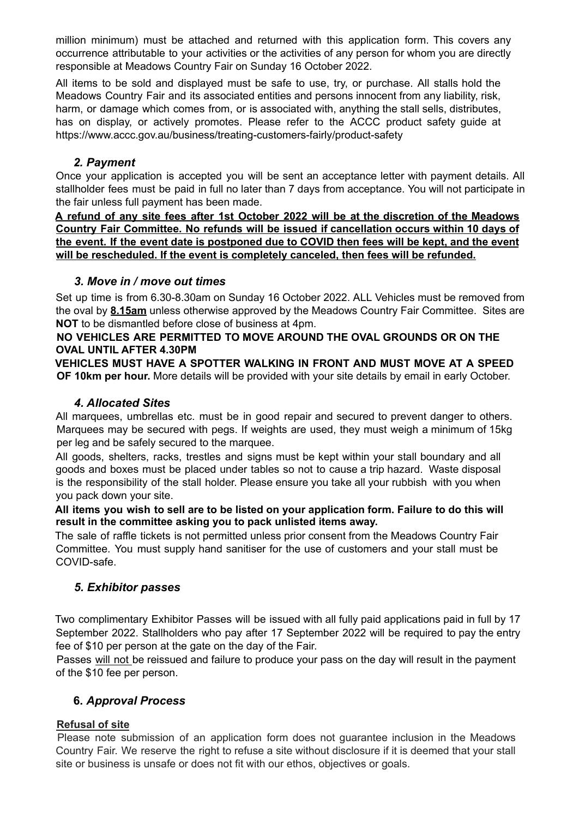million minimum) must be attached and returned with this application form. This covers any occurrence attributable to your activities or the activities of any person for whom you are directly responsible at Meadows Country Fair on Sunday 16 October 2022.

All items to be sold and displayed must be safe to use, try, or purchase. All stalls hold the Meadows Country Fair and its associated entities and persons innocent from any liability, risk, harm, or damage which comes from, or is associated with, anything the stall sells, distributes, has on display, or actively promotes. Please refer to the ACCC product safety guide at https://www.accc.gov.au/business/treating-customers-fairly/product-safety

## *2. Payment*

Once your application is accepted you will be sent an acceptance letter with payment details. All stallholder fees must be paid in full no later than 7 days from acceptance. You will not participate in the fair unless full payment has been made.

**A refund of any site fees after 1st October 2022 will be at the discretion of the Meadows Country Fair Committee. No refunds will be issued if cancellation occurs within 10 days of** the event. If the event date is postponed due to COVID then fees will be kept, and the event **will be rescheduled. If the event is completely canceled, then fees will be refunded.**

## *3. Move in / move out times*

Set up time is from 6.30-8.30am on Sunday 16 October 2022. ALL Vehicles must be removed from the oval by **8.15am** unless otherwise approved by the Meadows Country Fair Committee. Sites are **NOT** to be dismantled before close of business at 4pm.

### **NO VEHICLES ARE PERMITTED TO MOVE AROUND THE OVAL GROUNDS OR ON THE OVAL UNTIL AFTER 4.30PM**

**VEHICLES MUST HAVE A SPOTTER WALKING IN FRONT AND MUST MOVE AT A SPEED OF 10km per hour.** More details will be provided with your site details by email in early October.

## *4. Allocated Sites*

All marquees, umbrellas etc. must be in good repair and secured to prevent danger to others. Marquees may be secured with pegs. If weights are used, they must weigh a minimum of 15kg per leg and be safely secured to the marquee.

All goods, shelters, racks, trestles and signs must be kept within your stall boundary and all goods and boxes must be placed under tables so not to cause a trip hazard. Waste disposal is the responsibility of the stall holder. Please ensure you take all your rubbish with you when you pack down your site.

All items you wish to sell are to be listed on your application form. Failure to do this will **result in the committee asking you to pack unlisted items away.**

The sale of raffle tickets is not permitted unless prior consent from the Meadows Country Fair Committee. You must supply hand sanitiser for the use of customers and your stall must be COVID-safe.

## *5. Exhibitor passes*

Two complimentary Exhibitor Passes will be issued with all fully paid applications paid in full by 17 September 2022. Stallholders who pay after 17 September 2022 will be required to pay the entry fee of \$10 per person at the gate on the day of the Fair.

Passes will not be reissued and failure to produce your pass on the day will result in the payment of the \$10 fee per person.

## **6.** *Approval Process*

## **Refusal of site**

Please note submission of an application form does not guarantee inclusion in the Meadows Country Fair. We reserve the right to refuse a site without disclosure if it is deemed that your stall site or business is unsafe or does not fit with our ethos, objectives or goals.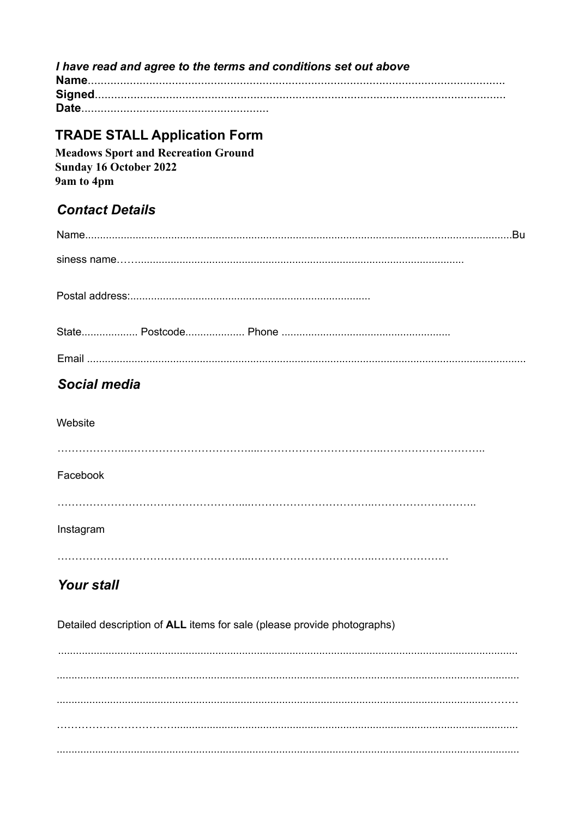I have read and agree to the terms and conditions set out above 

# **TRADE STALL Application Form**

**Meadows Sport and Recreation Ground Sunday 16 October 2022** 9am to 4pm

# **Contact Details**

| .Bu          |
|--------------|
|              |
|              |
|              |
|              |
| Social media |
| Website      |
| Facebook     |
|              |
| Instagram    |
|              |

# **Your stall**

Detailed description of ALL items for sale (please provide photographs)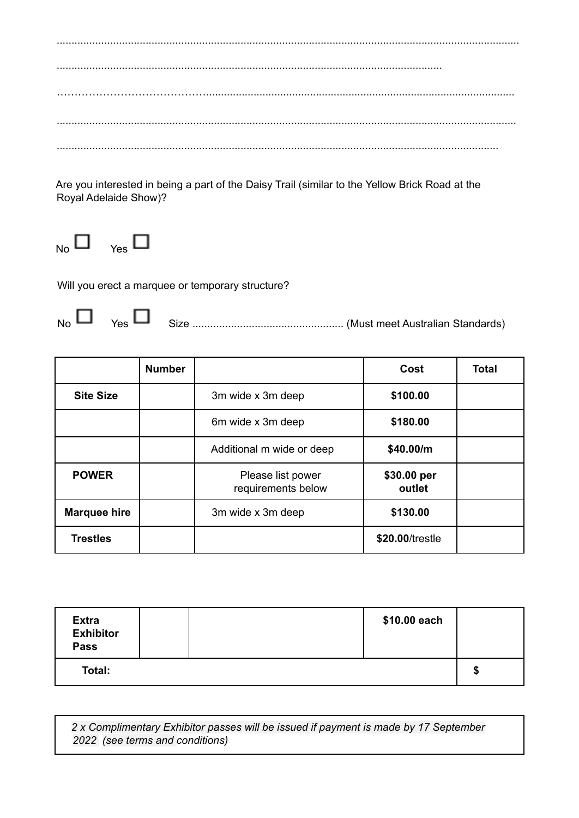Are you interested in being a part of the Daisy Trail (similar to the Yellow Brick Road at the Royal Adelaide Show)?



Will you erect a marquee or temporary structure?

 $_{\mathsf{No}}\Box_{\mathsf{Yes}}\Box$ 

|                     | <b>Number</b> |                                         | Cost                  | <b>Total</b> |
|---------------------|---------------|-----------------------------------------|-----------------------|--------------|
| <b>Site Size</b>    |               | 3m wide x 3m deep                       | \$100.00              |              |
|                     |               | 6m wide x 3m deep                       | \$180.00              |              |
|                     |               | Additional m wide or deep               | \$40.00/m             |              |
| <b>POWER</b>        |               | Please list power<br>requirements below | \$30.00 per<br>outlet |              |
| <b>Marquee hire</b> |               | 3m wide x 3m deep                       | \$130.00              |              |
| <b>Trestles</b>     |               |                                         | \$20.00/trestle       |              |

| <b>Extra</b><br><b>Exhibitor</b><br><b>Pass</b> | \$10.00 each |    |
|-------------------------------------------------|--------------|----|
| Total:                                          |              | ъD |

2 x Complimentary Exhibitor passes will be issued if payment is made by 17 September 2022 (see terms and conditions)